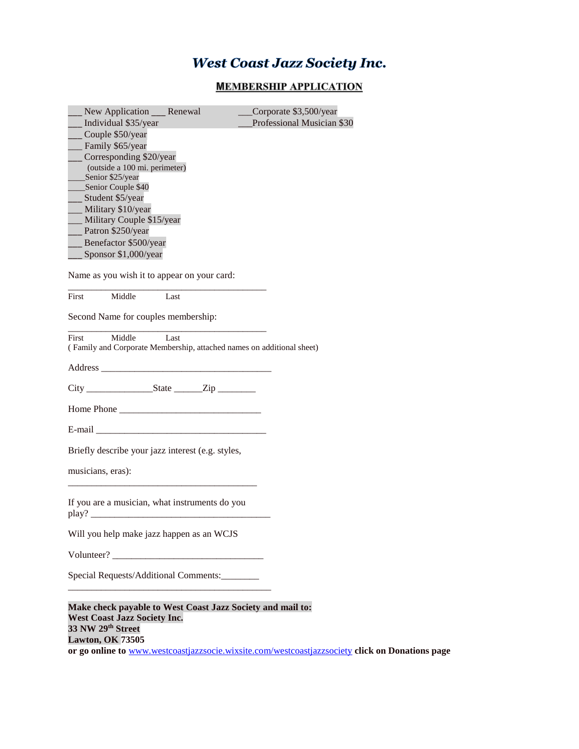# **West Coast Jazz Society Inc.**

## **MEMBERSHIP APPLICATION**

| New Application Renewal                                               |      | Corporate \$3,500/year     |
|-----------------------------------------------------------------------|------|----------------------------|
| Individual \$35/year                                                  |      | Professional Musician \$30 |
| Couple \$50/year                                                      |      |                            |
| Family \$65/year                                                      |      |                            |
| Corresponding \$20/year                                               |      |                            |
| (outside a 100 mi. perimeter)                                         |      |                            |
| Senior \$25/year                                                      |      |                            |
| Senior Couple \$40                                                    |      |                            |
| Student \$5/year                                                      |      |                            |
| Military \$10/year                                                    |      |                            |
| Military Couple \$15/year                                             |      |                            |
| Patron \$250/year                                                     |      |                            |
| Benefactor \$500/year                                                 |      |                            |
| Sponsor \$1,000/year                                                  |      |                            |
| Name as you wish it to appear on your card:                           |      |                            |
|                                                                       |      |                            |
| Middle<br>First                                                       | Last |                            |
| Second Name for couples membership:                                   |      |                            |
|                                                                       |      |                            |
| Middle<br>First                                                       | Last |                            |
| (Family and Corporate Membership, attached names on additional sheet) |      |                            |
|                                                                       |      |                            |
|                                                                       |      |                            |
|                                                                       |      |                            |
| Home Phone                                                            |      |                            |
|                                                                       |      |                            |
|                                                                       |      |                            |
| Briefly describe your jazz interest (e.g. styles,                     |      |                            |
|                                                                       |      |                            |
| musicians, eras):                                                     |      |                            |
|                                                                       |      |                            |
| If you are a musician, what instruments do you                        |      |                            |
| play?                                                                 |      |                            |
|                                                                       |      |                            |
| Will you help make jazz happen as an WCJS                             |      |                            |
|                                                                       |      |                            |
|                                                                       |      |                            |
| Special Requests/Additional Comments:                                 |      |                            |
|                                                                       |      |                            |
| Make check payable to West Coast Jazz Society and mail to:            |      |                            |
| <b>West Coast Jazz Society Inc.</b>                                   |      |                            |
| 33 NW 29th Street                                                     |      |                            |
| <b>Lawton, OK 73505</b>                                               |      |                            |

**or go online to** [www.westcoastjazzsocie.wixsite.com/westcoastjazzsociety](http://www.westcoastjazzsocie.wixsite.com/westcoastjazzsociety) **click on Donations page**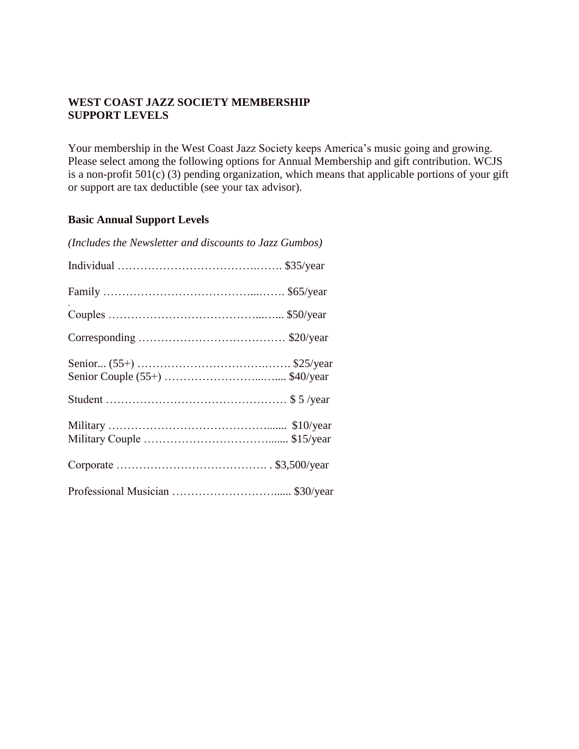### **WEST COAST JAZZ SOCIETY MEMBERSHIP SUPPORT LEVELS**

Your membership in the West Coast Jazz Society keeps America's music going and growing. Please select among the following options for Annual Membership and gift contribution. WCJS is a non-profit 501(c) (3) pending organization, which means that applicable portions of your gift or support are tax deductible (see your tax advisor).

#### **Basic Annual Support Levels**

| (Includes the Newsletter and discounts to Jazz Gumbos) |
|--------------------------------------------------------|
|                                                        |
|                                                        |
|                                                        |
|                                                        |
|                                                        |
|                                                        |
|                                                        |
|                                                        |
|                                                        |